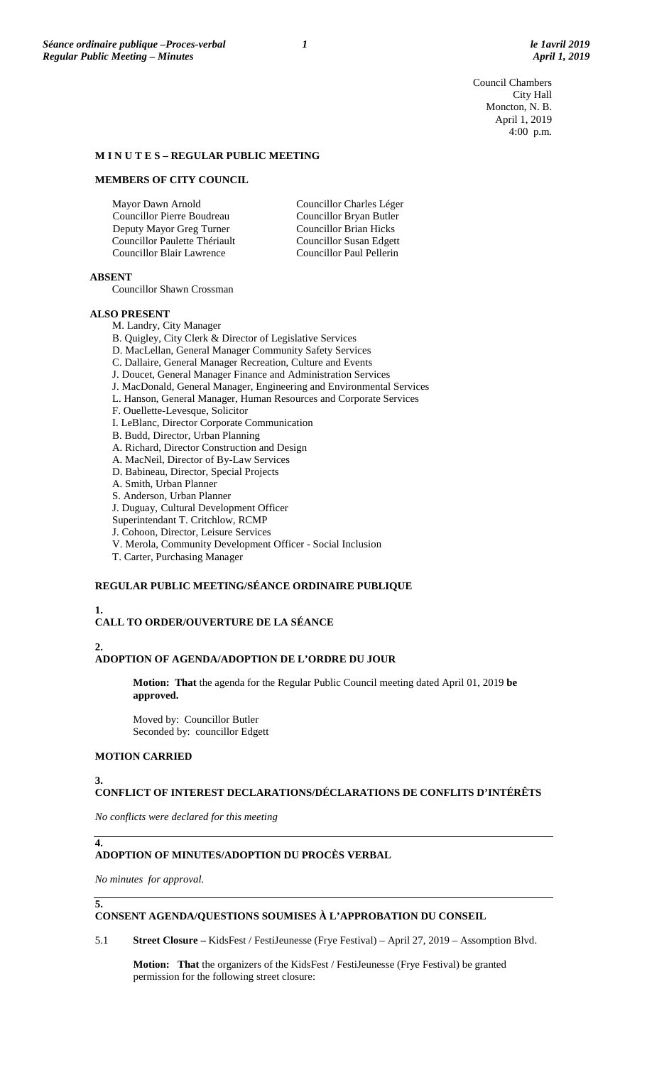Council Chambers City Hall Moncton, N. B. April 1, 2019 4:00 p.m.

### **M I N U T E S – REGULAR PUBLIC MEETING**

### **MEMBERS OF CITY COUNCIL**

Mayor Dawn Arnold Councillor Pierre Boudreau Deputy Mayor Greg Turner Councillor Paulette Thériault Councillor Blair Lawrence Councillor Charles Léger Councillor Bryan Butler Councillor Brian Hicks Councillor Susan Edgett Councillor Paul Pellerin

## **ABSENT**

Councillor Shawn Crossman

#### **ALSO PRESENT**

M. Landry, City Manager

B. Quigley, City Clerk & Director of Legislative Services

- D. MacLellan, General Manager Community Safety Services
- C. Dallaire, General Manager Recreation, Culture and Events
- J. Doucet, General Manager Finance and Administration Services
- J. MacDonald, General Manager, Engineering and Environmental Services
- L. Hanson, General Manager, Human Resources and Corporate Services
- F. Ouellette-Levesque, Solicitor
- I. LeBlanc, Director Corporate Communication
- B. Budd, Director, Urban Planning
- A. Richard, Director Construction and Design
- A. MacNeil, Director of By-Law Services
- D. Babineau, Director, Special Projects
- A. Smith, Urban Planner
- S. Anderson, Urban Planner
- J. Duguay, Cultural Development Officer
- Superintendant T. Critchlow, RCMP
- J. Cohoon, Director, Leisure Services
- V. Merola, Community Development Officer Social Inclusion
- T. Carter, Purchasing Manager

## **REGULAR PUBLIC MEETING/SÉANCE ORDINAIRE PUBLIQUE**

# **1.**

# **CALL TO ORDER/OUVERTURE DE LA SÉANCE**

### **2.**

# **ADOPTION OF AGENDA/ADOPTION DE L'ORDRE DU JOUR**

**Motion: That** the agenda for the Regular Public Council meeting dated April 01, 2019 **be approved.**

Moved by: Councillor Butler Seconded by: councillor Edgett

# **MOTION CARRIED**

# **3.**

# **CONFLICT OF INTEREST DECLARATIONS/DÉCLARATIONS DE CONFLITS D'INTÉRÊTS**

*No conflicts were declared for this meeting*

### **ADOPTION OF MINUTES/ADOPTION DU PROCÈS VERBAL**

*No minutes for approval.*

**5.**

**4.**

### **CONSENT AGENDA/QUESTIONS SOUMISES À L'APPROBATION DU CONSEIL**

5.1 **Street Closure –** KidsFest / FestiJeunesse (Frye Festival) – April 27, 2019 – Assomption Blvd.

**Motion: That** the organizers of the KidsFest / FestiJeunesse (Frye Festival) be granted permission for the following street closure: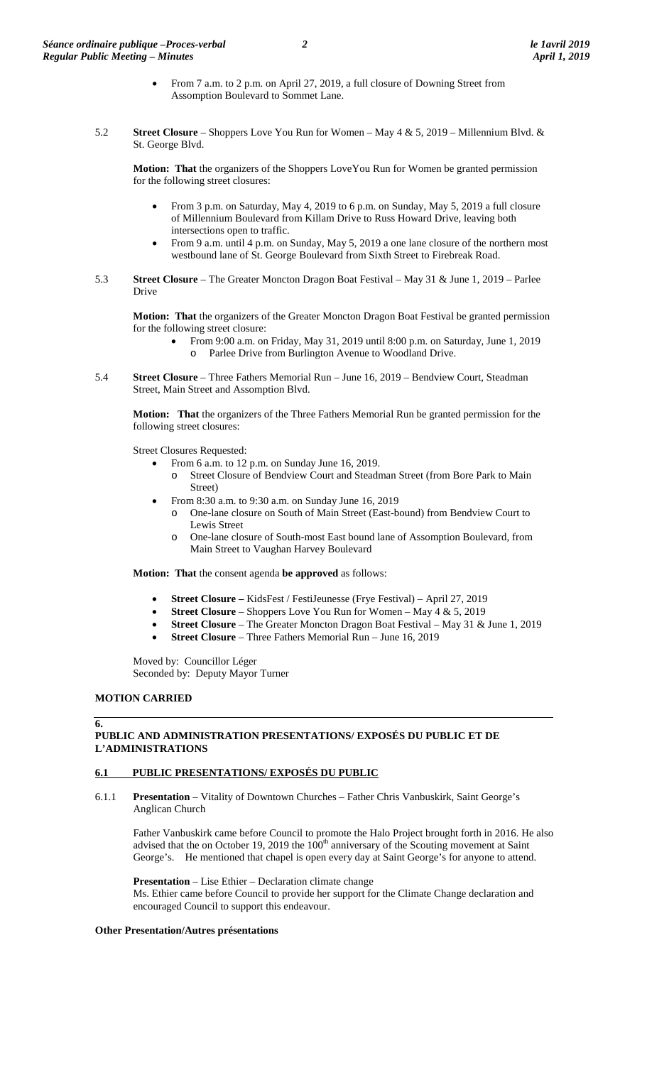- From 7 a.m. to 2 p.m. on April 27, 2019, a full closure of Downing Street from Assomption Boulevard to Sommet Lane.
- 5.2 **Street Closure** Shoppers Love You Run for Women May 4 & 5, 2019 Millennium Blvd. & St. George Blvd.

**Motion: That** the organizers of the Shoppers LoveYou Run for Women be granted permission for the following street closures:

- From 3 p.m. on Saturday, May 4, 2019 to 6 p.m. on Sunday, May 5, 2019 a full closure of Millennium Boulevard from Killam Drive to Russ Howard Drive, leaving both intersections open to traffic.
- From 9 a.m. until 4 p.m. on Sunday, May 5, 2019 a one lane closure of the northern most westbound lane of St. George Boulevard from Sixth Street to Firebreak Road.
- 5.3 **Street Closure** The Greater Moncton Dragon Boat Festival May 31 & June 1, 2019 Parlee Drive

**Motion: That** the organizers of the Greater Moncton Dragon Boat Festival be granted permission for the following street closure:

- From 9:00 a.m. on Friday, May 31, 2019 until 8:00 p.m. on Saturday, June 1, 2019 o Parlee Drive from Burlington Avenue to Woodland Drive.
- 5.4 **Street Closure** Three Fathers Memorial Run June 16, 2019 Bendview Court, Steadman Street, Main Street and Assomption Blvd.

**Motion: That** the organizers of the Three Fathers Memorial Run be granted permission for the following street closures:

Street Closures Requested:

- From 6 a.m. to 12 p.m. on Sunday June 16, 2019.
- o Street Closure of Bendview Court and Steadman Street (from Bore Park to Main Street)
- From 8:30 a.m. to 9:30 a.m. on Sunday June 16, 2019
	- One-lane closure on South of Main Street (East-bound) from Bendview Court to Lewis Street
	- o One-lane closure of South-most East bound lane of Assomption Boulevard, from Main Street to Vaughan Harvey Boulevard

**Motion: That** the consent agenda **be approved** as follows:

- **Street Closure –** KidsFest / FestiJeunesse (Frye Festival) April 27, 2019
- **Street Closure** Shoppers Love You Run for Women May 4 & 5, 2019
- **Street Closure** The Greater Moncton Dragon Boat Festival May 31 & June 1, 2019
- **Street Closure** Three Fathers Memorial Run June 16, 2019

Moved by: Councillor Léger Seconded by: Deputy Mayor Turner

# **MOTION CARRIED**

**6.**

# **PUBLIC AND ADMINISTRATION PRESENTATIONS/ EXPOSÉS DU PUBLIC ET DE L'ADMINISTRATIONS**

# **6.1 PUBLIC PRESENTATIONS/ EXPOSÉS DU PUBLIC**

6.1.1 **Presentation** – Vitality of Downtown Churches – Father Chris Vanbuskirk, Saint George's Anglican Church

Father Vanbuskirk came before Council to promote the Halo Project brought forth in 2016. He also advised that the on October 19, 2019 the  $100<sup>th</sup>$  anniversary of the Scouting movement at Saint George's. He mentioned that chapel is open every day at Saint George's for anyone to attend.

**Presentation** – Lise Ethier – Declaration climate change Ms. Ethier came before Council to provide her support for the Climate Change declaration and encouraged Council to support this endeavour.

# **Other Presentation/Autres présentations**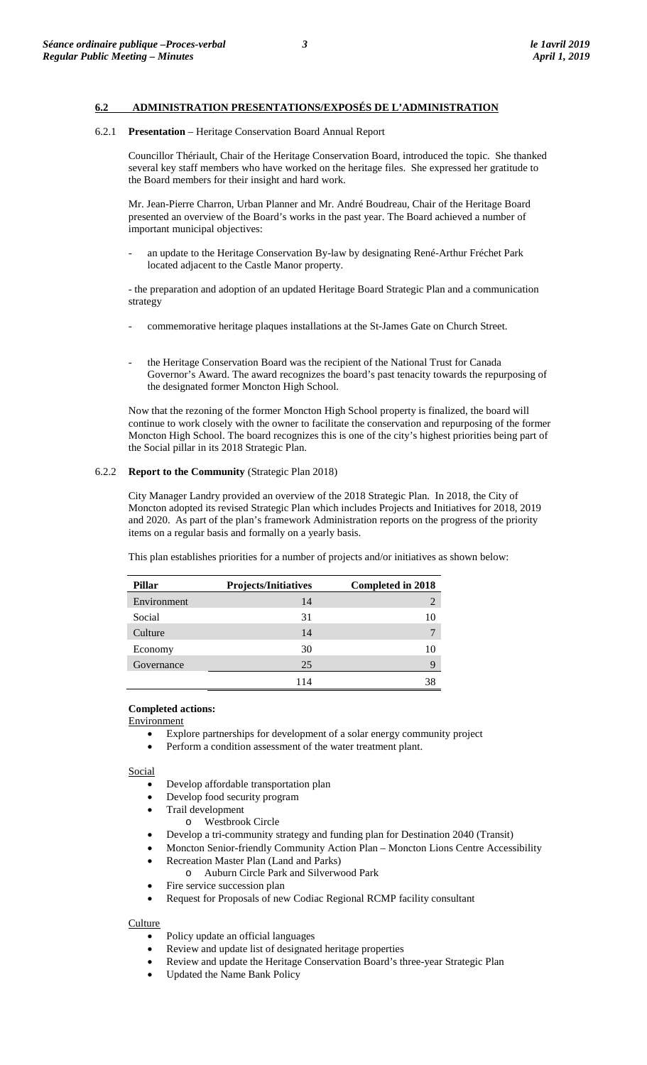# **6.2 ADMINISTRATION PRESENTATIONS/EXPOSÉS DE L'ADMINISTRATION**

### 6.2.1 **Presentation** – Heritage Conservation Board Annual Report

Councillor Thériault, Chair of the Heritage Conservation Board, introduced the topic. She thanked several key staff members who have worked on the heritage files. She expressed her gratitude to the Board members for their insight and hard work.

Mr. Jean-Pierre Charron, Urban Planner and Mr. André Boudreau, Chair of the Heritage Board presented an overview of the Board's works in the past year. The Board achieved a number of important municipal objectives:

an update to the Heritage Conservation By-law by designating René-Arthur Fréchet Park located adjacent to the Castle Manor property.

- the preparation and adoption of an updated Heritage Board Strategic Plan and a communication strategy

- commemorative heritage plaques installations at the St-James Gate on Church Street.
- the Heritage Conservation Board was the recipient of the National Trust for Canada Governor's Award. The award recognizes the board's past tenacity towards the repurposing of the designated former Moncton High School.

Now that the rezoning of the former Moncton High School property is finalized, the board will continue to work closely with the owner to facilitate the conservation and repurposing of the former Moncton High School. The board recognizes this is one of the city's highest priorities being part of the Social pillar in its 2018 Strategic Plan.

### 6.2.2 **Report to the Community** (Strategic Plan 2018)

City Manager Landry provided an overview of the 2018 Strategic Plan. In 2018, the City of Moncton adopted its revised Strategic Plan which includes Projects and Initiatives for 2018, 2019 and 2020. As part of the plan's framework Administration reports on the progress of the priority items on a regular basis and formally on a yearly basis.

This plan establishes priorities for a number of projects and/or initiatives as shown below:

| Pillar      | <b>Projects/Initiatives</b> | <b>Completed in 2018</b> |
|-------------|-----------------------------|--------------------------|
| Environment | 14                          | 2                        |
| Social      | 31                          |                          |
| Culture     | 14                          |                          |
| Economy     | 30                          | 10                       |
| Governance  | 25                          | 9                        |
|             | 14                          |                          |

### **Completed actions:**

**Environment** 

- Explore partnerships for development of a solar energy community project
- Perform a condition assessment of the water treatment plant.

**Social** 

- Develop affordable transportation plan
- Develop food security program
- Trail development
	- o Westbrook Circle
- Develop a tri-community strategy and funding plan for Destination 2040 (Transit)
- Moncton Senior-friendly Community Action Plan Moncton Lions Centre Accessibility
- Recreation Master Plan (Land and Parks)
	- o Auburn Circle Park and Silverwood Park
- Fire service succession plan
- Request for Proposals of new Codiac Regional RCMP facility consultant

# **Culture**

- Policy update an official languages
- Review and update list of designated heritage properties
- Review and update the Heritage Conservation Board's three-year Strategic Plan
- Updated the Name Bank Policy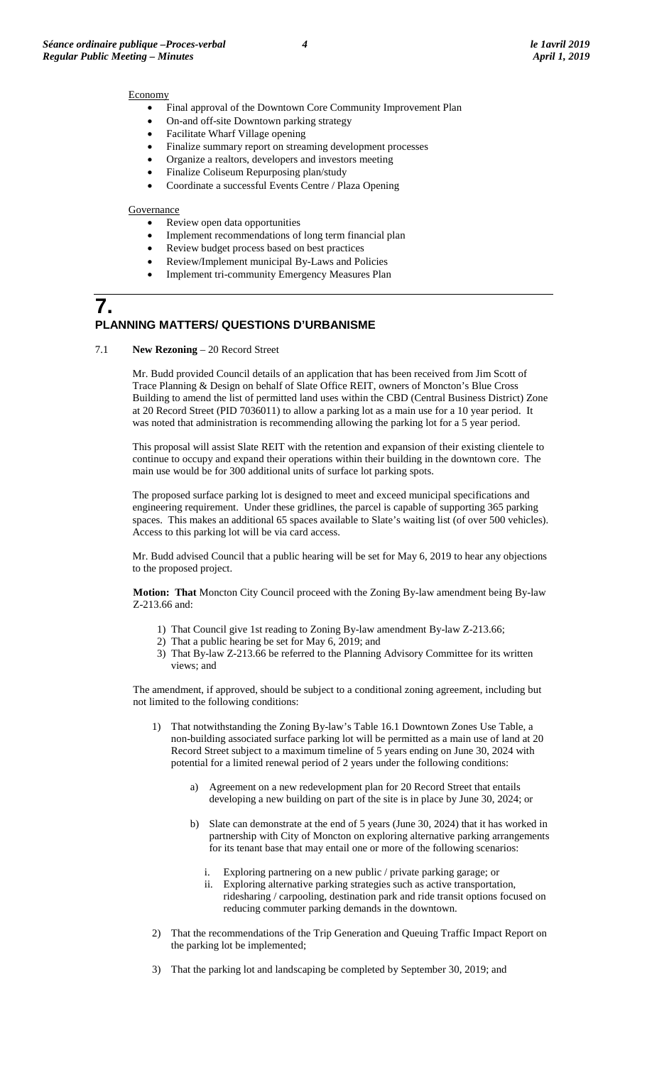### **Economy**

- Final approval of the Downtown Core Community Improvement Plan
- On-and off-site Downtown parking strategy
- Facilitate Wharf Village opening
- Finalize summary report on streaming development processes
- Organize a realtors, developers and investors meeting
- Finalize Coliseum Repurposing plan/study
- Coordinate a successful Events Centre / Plaza Opening

### **Governance**

- Review open data opportunities
- Implement recommendations of long term financial plan
- Review budget process based on best practices
- Review/Implement municipal By-Laws and Policies
- Implement tri-community Emergency Measures Plan

# **7. PLANNING MATTERS/ QUESTIONS D'URBANISME**

7.1 **New Rezoning** – 20 Record Street

Mr. Budd provided Council details of an application that has been received from Jim Scott of Trace Planning & Design on behalf of Slate Office REIT, owners of Moncton's Blue Cross Building to amend the list of permitted land uses within the CBD (Central Business District) Zone at 20 Record Street (PID 7036011) to allow a parking lot as a main use for a 10 year period. It was noted that administration is recommending allowing the parking lot for a 5 year period.

This proposal will assist Slate REIT with the retention and expansion of their existing clientele to continue to occupy and expand their operations within their building in the downtown core. The main use would be for 300 additional units of surface lot parking spots.

The proposed surface parking lot is designed to meet and exceed municipal specifications and engineering requirement. Under these gridlines, the parcel is capable of supporting 365 parking spaces. This makes an additional 65 spaces available to Slate's waiting list (of over 500 vehicles). Access to this parking lot will be via card access.

Mr. Budd advised Council that a public hearing will be set for May 6, 2019 to hear any objections to the proposed project.

**Motion: That** Moncton City Council proceed with the Zoning By-law amendment being By-law Z-213.66 and:

- 1) That Council give 1st reading to Zoning By-law amendment By-law Z-213.66;
- 2) That a public hearing be set for May 6, 2019; and
- 3) That By-law Z-213.66 be referred to the Planning Advisory Committee for its written views; and

The amendment, if approved, should be subject to a conditional zoning agreement, including but not limited to the following conditions:

- 1) That notwithstanding the Zoning By-law's Table 16.1 Downtown Zones Use Table, a non-building associated surface parking lot will be permitted as a main use of land at 20 Record Street subject to a maximum timeline of 5 years ending on June 30, 2024 with potential for a limited renewal period of 2 years under the following conditions:
	- a) Agreement on a new redevelopment plan for 20 Record Street that entails developing a new building on part of the site is in place by June 30, 2024; or
	- b) Slate can demonstrate at the end of 5 years (June 30, 2024) that it has worked in partnership with City of Moncton on exploring alternative parking arrangements for its tenant base that may entail one or more of the following scenarios:
		- Exploring partnering on a new public / private parking garage; or
		- ii. Exploring alternative parking strategies such as active transportation, ridesharing / carpooling, destination park and ride transit options focused on reducing commuter parking demands in the downtown.
- 2) That the recommendations of the Trip Generation and Queuing Traffic Impact Report on the parking lot be implemented;
- 3) That the parking lot and landscaping be completed by September 30, 2019; and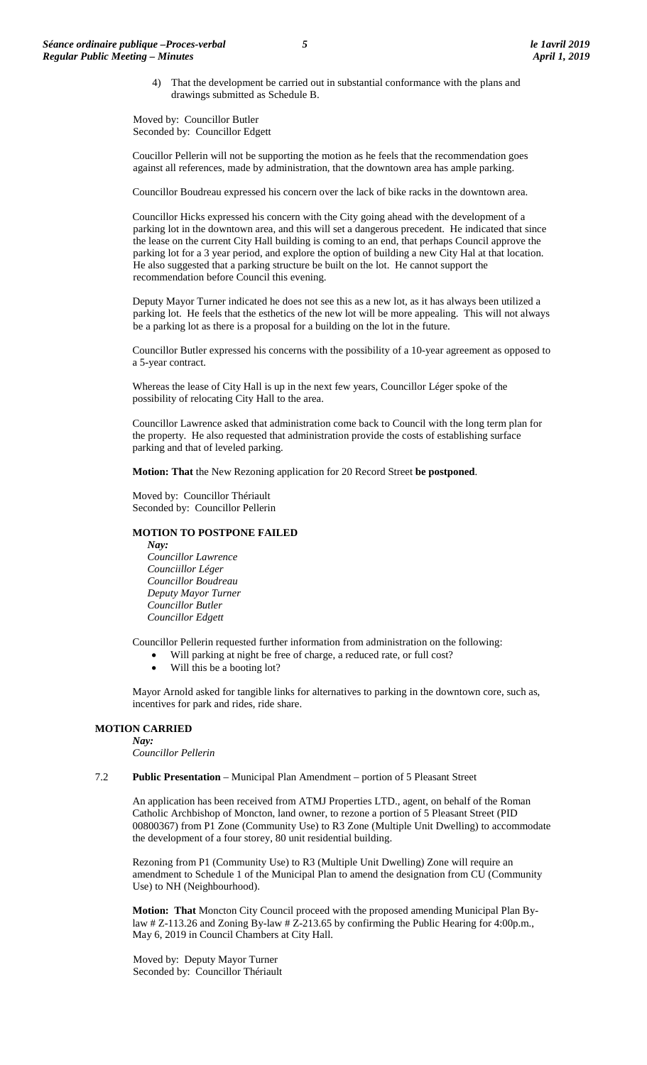4) That the development be carried out in substantial conformance with the plans and drawings submitted as Schedule B.

Moved by: Councillor Butler Seconded by: Councillor Edgett

Coucillor Pellerin will not be supporting the motion as he feels that the recommendation goes against all references, made by administration, that the downtown area has ample parking.

Councillor Boudreau expressed his concern over the lack of bike racks in the downtown area.

Councillor Hicks expressed his concern with the City going ahead with the development of a parking lot in the downtown area, and this will set a dangerous precedent. He indicated that since the lease on the current City Hall building is coming to an end, that perhaps Council approve the parking lot for a 3 year period, and explore the option of building a new City Hal at that location. He also suggested that a parking structure be built on the lot. He cannot support the recommendation before Council this evening.

Deputy Mayor Turner indicated he does not see this as a new lot, as it has always been utilized a parking lot. He feels that the esthetics of the new lot will be more appealing. This will not always be a parking lot as there is a proposal for a building on the lot in the future.

Councillor Butler expressed his concerns with the possibility of a 10-year agreement as opposed to a 5-year contract.

Whereas the lease of City Hall is up in the next few years, Councillor Léger spoke of the possibility of relocating City Hall to the area.

Councillor Lawrence asked that administration come back to Council with the long term plan for the property. He also requested that administration provide the costs of establishing surface parking and that of leveled parking.

**Motion: That** the New Rezoning application for 20 Record Street **be postponed**.

Moved by: Councillor Thériault Seconded by: Councillor Pellerin

### **MOTION TO POSTPONE FAILED**

*Nay:*

*Councillor Lawrence Counciillor Léger Councillor Boudreau Deputy Mayor Turner Councillor Butler Councillor Edgett*

Councillor Pellerin requested further information from administration on the following:

- Will parking at night be free of charge, a reduced rate, or full cost?
	- Will this be a booting lot?

Mayor Arnold asked for tangible links for alternatives to parking in the downtown core, such as, incentives for park and rides, ride share.

# **MOTION CARRIED**

*Nay:*

*Councillor Pellerin*

### 7.2 **Public Presentation** – Municipal Plan Amendment – portion of 5 Pleasant Street

An application has been received from ATMJ Properties LTD., agent, on behalf of the Roman Catholic Archbishop of Moncton, land owner, to rezone a portion of 5 Pleasant Street (PID 00800367) from P1 Zone (Community Use) to R3 Zone (Multiple Unit Dwelling) to accommodate the development of a four storey, 80 unit residential building.

Rezoning from P1 (Community Use) to R3 (Multiple Unit Dwelling) Zone will require an amendment to Schedule 1 of the Municipal Plan to amend the designation from CU (Community Use) to NH (Neighbourhood).

**Motion: That** Moncton City Council proceed with the proposed amending Municipal Plan Bylaw # Z-113.26 and Zoning By-law # Z-213.65 by confirming the Public Hearing for 4:00p.m., May 6, 2019 in Council Chambers at City Hall.

Moved by: Deputy Mayor Turner Seconded by: Councillor Thériault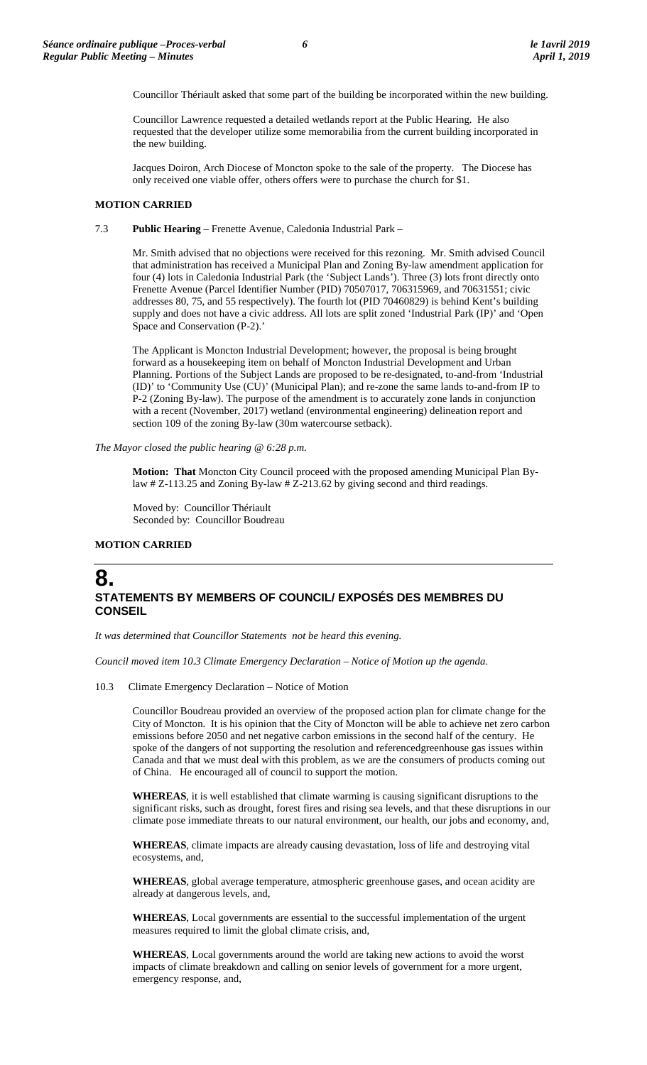Councillor Thériault asked that some part of the building be incorporated within the new building.

Councillor Lawrence requested a detailed wetlands report at the Public Hearing. He also requested that the developer utilize some memorabilia from the current building incorporated in the new building.

Jacques Doiron, Arch Diocese of Moncton spoke to the sale of the property. The Diocese has only received one viable offer, others offers were to purchase the church for \$1.

### **MOTION CARRIED**

7.3 **Public Hearing** – Frenette Avenue, Caledonia Industrial Park –

Mr. Smith advised that no objections were received for this rezoning. Mr. Smith advised Council that administration has received a Municipal Plan and Zoning By-law amendment application for four (4) lots in Caledonia Industrial Park (the 'Subject Lands'). Three (3) lots front directly onto Frenette Avenue (Parcel Identifier Number (PID) 70507017, 706315969, and 70631551; civic addresses 80, 75, and 55 respectively). The fourth lot (PID 70460829) is behind Kent's building supply and does not have a civic address. All lots are split zoned 'Industrial Park (IP)' and 'Open Space and Conservation (P-2).'

The Applicant is Moncton Industrial Development; however, the proposal is being brought forward as a housekeeping item on behalf of Moncton Industrial Development and Urban Planning. Portions of the Subject Lands are proposed to be re-designated, to-and-from 'Industrial (ID)' to 'Community Use (CU)' (Municipal Plan); and re-zone the same lands to-and-from IP to P-2 (Zoning By-law). The purpose of the amendment is to accurately zone lands in conjunction with a recent (November, 2017) wetland (environmental engineering) delineation report and section 109 of the zoning By-law (30m watercourse setback).

*The Mayor closed the public hearing @ 6:28 p.m.*

**Motion: That** Moncton City Council proceed with the proposed amending Municipal Plan Bylaw # Z-113.25 and Zoning By-law # Z-213.62 by giving second and third readings.

Moved by: Councillor Thériault Seconded by: Councillor Boudreau

# **MOTION CARRIED**

# **8. STATEMENTS BY MEMBERS OF COUNCIL/ EXPOSÉS DES MEMBRES DU CONSEIL**

*It was determined that Councillor Statements not be heard this evening.*

*Council moved item 10.3 Climate Emergency Declaration – Notice of Motion up the agenda.*

10.3 Climate Emergency Declaration – Notice of Motion

Councillor Boudreau provided an overview of the proposed action plan for climate change for the City of Moncton. It is his opinion that the City of Moncton will be able to achieve net zero carbon emissions before 2050 and net negative carbon emissions in the second half of the century. He spoke of the dangers of not supporting the resolution and referencedgreenhouse gas issues within Canada and that we must deal with this problem, as we are the consumers of products coming out of China. He encouraged all of council to support the motion.

**WHEREAS**, it is well established that climate warming is causing significant disruptions to the significant risks, such as drought, forest fires and rising sea levels, and that these disruptions in our climate pose immediate threats to our natural environment, our health, our jobs and economy, and,

**WHEREAS**, climate impacts are already causing devastation, loss of life and destroying vital ecosystems, and,

**WHEREAS**, global average temperature, atmospheric greenhouse gases, and ocean acidity are already at dangerous levels, and,

**WHEREAS**, Local governments are essential to the successful implementation of the urgent measures required to limit the global climate crisis, and,

**WHEREAS**, Local governments around the world are taking new actions to avoid the worst impacts of climate breakdown and calling on senior levels of government for a more urgent, emergency response, and,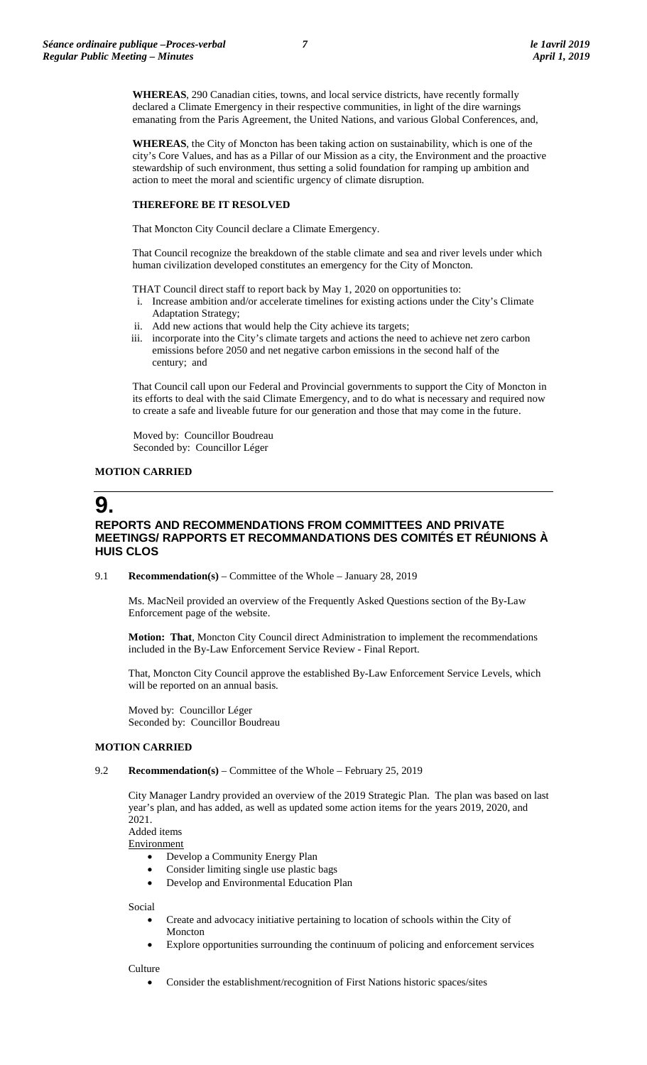**WHEREAS**, 290 Canadian cities, towns, and local service districts, have recently formally declared a Climate Emergency in their respective communities, in light of the dire warnings emanating from the Paris Agreement, the United Nations, and various Global Conferences, and,

**WHEREAS**, the City of Moncton has been taking action on sustainability, which is one of the city's Core Values, and has as a Pillar of our Mission as a city, the Environment and the proactive stewardship of such environment, thus setting a solid foundation for ramping up ambition and action to meet the moral and scientific urgency of climate disruption.

# **THEREFORE BE IT RESOLVED**

That Moncton City Council declare a Climate Emergency.

That Council recognize the breakdown of the stable climate and sea and river levels under which human civilization developed constitutes an emergency for the City of Moncton.

THAT Council direct staff to report back by May 1, 2020 on opportunities to:

- i. Increase ambition and/or accelerate timelines for existing actions under the City's Climate Adaptation Strategy;
- ii. Add new actions that would help the City achieve its targets;
- iii. incorporate into the City's climate targets and actions the need to achieve net zero carbon emissions before 2050 and net negative carbon emissions in the second half of the century; and

That Council call upon our Federal and Provincial governments to support the City of Moncton in its efforts to deal with the said Climate Emergency, and to do what is necessary and required now to create a safe and liveable future for our generation and those that may come in the future.

Moved by: Councillor Boudreau Seconded by: Councillor Léger

# **MOTION CARRIED**

# **9.**

# **REPORTS AND RECOMMENDATIONS FROM COMMITTEES AND PRIVATE MEETINGS/ RAPPORTS ET RECOMMANDATIONS DES COMITÉS ET RÉUNIONS À HUIS CLOS**

9.1 **Recommendation(s)** – Committee of the Whole – January 28, 2019

Ms. MacNeil provided an overview of the Frequently Asked Questions section of the By-Law Enforcement page of the website.

**Motion: That**, Moncton City Council direct Administration to implement the recommendations included in the By-Law Enforcement Service Review - Final Report.

That, Moncton City Council approve the established By-Law Enforcement Service Levels, which will be reported on an annual basis.

Moved by: Councillor Léger Seconded by: Councillor Boudreau

# **MOTION CARRIED**

## 9.2 **Recommendation(s)** – Committee of the Whole – February 25, 2019

City Manager Landry provided an overview of the 2019 Strategic Plan. The plan was based on last year's plan, and has added, as well as updated some action items for the years 2019, 2020, and 2021.

Added items

**Environment** 

- Develop a Community Energy Plan
- Consider limiting single use plastic bags
- Develop and Environmental Education Plan

Social

- Create and advocacy initiative pertaining to location of schools within the City of Moncton
- Explore opportunities surrounding the continuum of policing and enforcement services

**Culture** 

• Consider the establishment/recognition of First Nations historic spaces/sites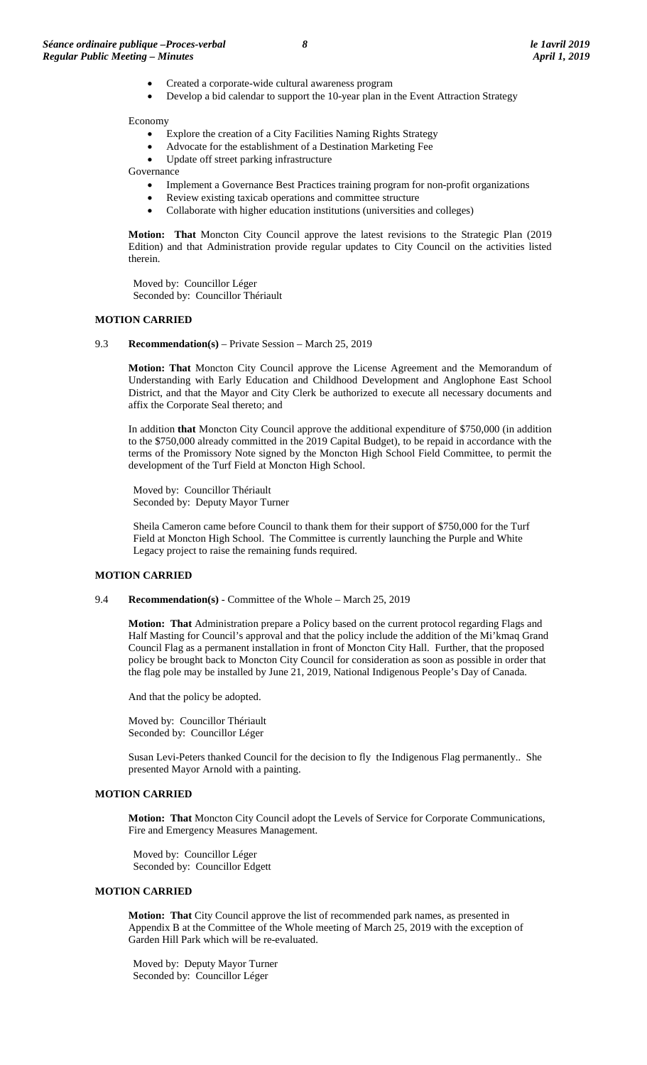- Created a corporate-wide cultural awareness program
- Develop a bid calendar to support the 10-year plan in the Event Attraction Strategy

Economy

- Explore the creation of a City Facilities Naming Rights Strategy
- Advocate for the establishment of a Destination Marketing Fee
- Update off street parking infrastructure

Governance

- Implement a Governance Best Practices training program for non-profit organizations
- Review existing taxicab operations and committee structure
- Collaborate with higher education institutions (universities and colleges)

**Motion: That** Moncton City Council approve the latest revisions to the Strategic Plan (2019 Edition) and that Administration provide regular updates to City Council on the activities listed therein.

Moved by: Councillor Léger Seconded by: Councillor Thériault

### **MOTION CARRIED**

9.3 **Recommendation(s)** – Private Session – March 25, 2019

**Motion: That** Moncton City Council approve the License Agreement and the Memorandum of Understanding with Early Education and Childhood Development and Anglophone East School District, and that the Mayor and City Clerk be authorized to execute all necessary documents and affix the Corporate Seal thereto; and

In addition **that** Moncton City Council approve the additional expenditure of \$750,000 (in addition to the \$750,000 already committed in the 2019 Capital Budget), to be repaid in accordance with the terms of the Promissory Note signed by the Moncton High School Field Committee, to permit the development of the Turf Field at Moncton High School.

Moved by: Councillor Thériault Seconded by: Deputy Mayor Turner

Sheila Cameron came before Council to thank them for their support of \$750,000 for the Turf Field at Moncton High School. The Committee is currently launching the Purple and White Legacy project to raise the remaining funds required.

### **MOTION CARRIED**

9.4 **Recommendation(s)** - Committee of the Whole – March 25, 2019

**Motion: That** Administration prepare a Policy based on the current protocol regarding Flags and Half Masting for Council's approval and that the policy include the addition of the Mi'kmaq Grand Council Flag as a permanent installation in front of Moncton City Hall. Further, that the proposed policy be brought back to Moncton City Council for consideration as soon as possible in order that the flag pole may be installed by June 21, 2019, National Indigenous People's Day of Canada.

And that the policy be adopted.

Moved by: Councillor Thériault Seconded by: Councillor Léger

Susan Levi-Peters thanked Council for the decision to fly the Indigenous Flag permanently.. She presented Mayor Arnold with a painting.

# **MOTION CARRIED**

**Motion: That** Moncton City Council adopt the Levels of Service for Corporate Communications, Fire and Emergency Measures Management.

Moved by: Councillor Léger Seconded by: Councillor Edgett

# **MOTION CARRIED**

**Motion: That** City Council approve the list of recommended park names, as presented in Appendix B at the Committee of the Whole meeting of March 25, 2019 with the exception of Garden Hill Park which will be re-evaluated.

Moved by: Deputy Mayor Turner Seconded by: Councillor Léger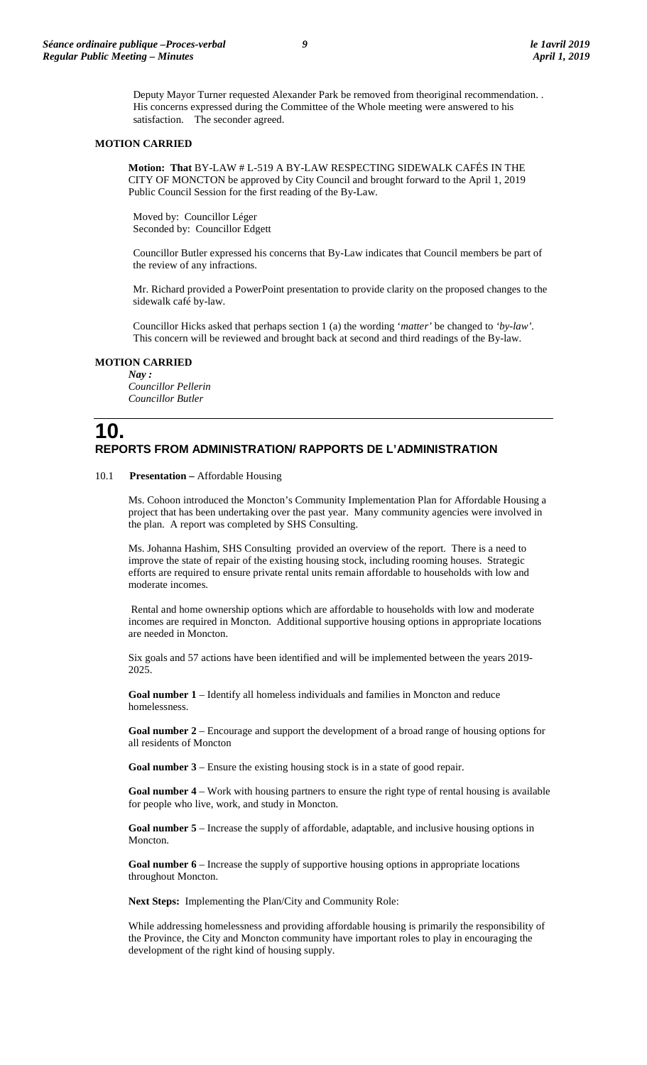Deputy Mayor Turner requested Alexander Park be removed from theoriginal recommendation. . His concerns expressed during the Committee of the Whole meeting were answered to his satisfaction. The seconder agreed.

### **MOTION CARRIED**

**Motion: That** BY-LAW # L-519 A BY-LAW RESPECTING SIDEWALK CAFÉS IN THE CITY OF MONCTON be approved by City Council and brought forward to the April 1, 2019 Public Council Session for the first reading of the By-Law.

Moved by: Councillor Léger Seconded by: Councillor Edgett

Councillor Butler expressed his concerns that By-Law indicates that Council members be part of the review of any infractions.

Mr. Richard provided a PowerPoint presentation to provide clarity on the proposed changes to the sidewalk café by-law.

Councillor Hicks asked that perhaps section 1 (a) the wording '*matter'* be changed to *'by-law'.*  This concern will be reviewed and brought back at second and third readings of the By-law.

# **MOTION CARRIED**

*Nay : Councillor Pellerin Councillor Butler*

# **10. REPORTS FROM ADMINISTRATION/ RAPPORTS DE L'ADMINISTRATION**

## 10.1 **Presentation –** Affordable Housing

Ms. Cohoon introduced the Moncton's Community Implementation Plan for Affordable Housing a project that has been undertaking over the past year. Many community agencies were involved in the plan. A report was completed by SHS Consulting.

Ms. Johanna Hashim, SHS Consulting provided an overview of the report. There is a need to improve the state of repair of the existing housing stock, including rooming houses. Strategic efforts are required to ensure private rental units remain affordable to households with low and moderate incomes.

Rental and home ownership options which are affordable to households with low and moderate incomes are required in Moncton. Additional supportive housing options in appropriate locations are needed in Moncton.

Six goals and 57 actions have been identified and will be implemented between the years 2019- 2025.

**Goal number 1** – Identify all homeless individuals and families in Moncton and reduce homelessness.

**Goal number 2** – Encourage and support the development of a broad range of housing options for all residents of Moncton

**Goal number 3** – Ensure the existing housing stock is in a state of good repair.

**Goal number 4** – Work with housing partners to ensure the right type of rental housing is available for people who live, work, and study in Moncton.

**Goal number 5** – Increase the supply of affordable, adaptable, and inclusive housing options in Moncton.

**Goal number 6** – Increase the supply of supportive housing options in appropriate locations throughout Moncton.

**Next Steps:** Implementing the Plan/City and Community Role:

While addressing homelessness and providing affordable housing is primarily the responsibility of the Province, the City and Moncton community have important roles to play in encouraging the development of the right kind of housing supply.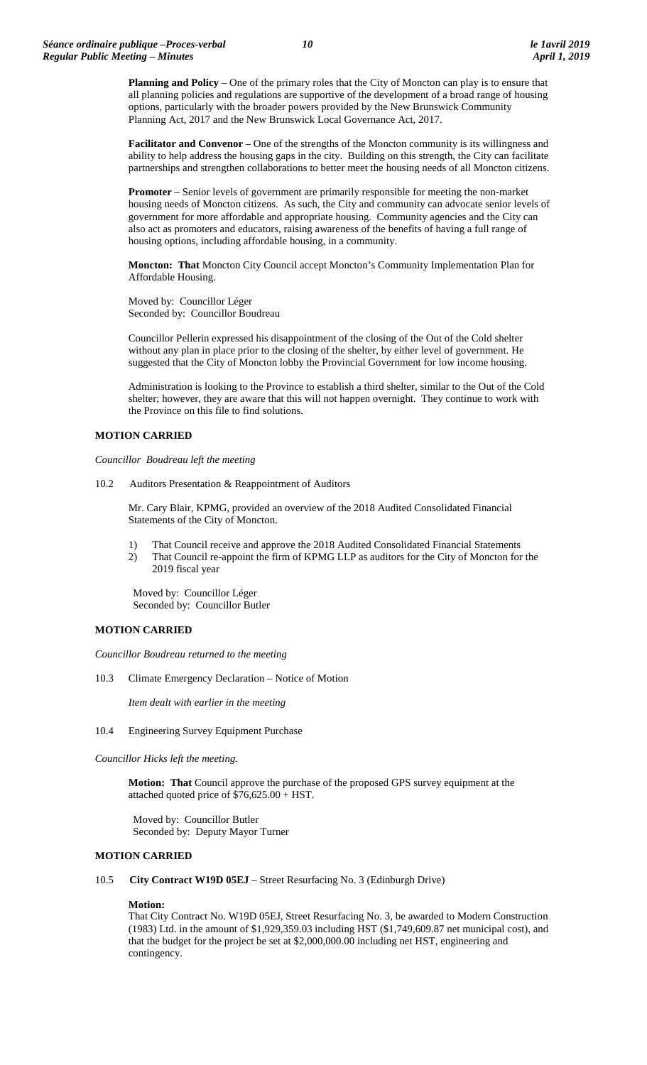**Planning and Policy** – One of the primary roles that the City of Moncton can play is to ensure that all planning policies and regulations are supportive of the development of a broad range of housing options, particularly with the broader powers provided by the New Brunswick Community Planning Act, 2017 and the New Brunswick Local Governance Act, 2017.

**Facilitator and Convenor** – One of the strengths of the Moncton community is its willingness and ability to help address the housing gaps in the city. Building on this strength, the City can facilitate partnerships and strengthen collaborations to better meet the housing needs of all Moncton citizens.

**Promoter** – Senior levels of government are primarily responsible for meeting the non-market housing needs of Moncton citizens. As such, the City and community can advocate senior levels of government for more affordable and appropriate housing. Community agencies and the City can also act as promoters and educators, raising awareness of the benefits of having a full range of housing options, including affordable housing, in a community.

**Moncton: That** Moncton City Council accept Moncton's Community Implementation Plan for Affordable Housing.

Moved by: Councillor Léger Seconded by: Councillor Boudreau

Councillor Pellerin expressed his disappointment of the closing of the Out of the Cold shelter without any plan in place prior to the closing of the shelter, by either level of government. He suggested that the City of Moncton lobby the Provincial Government for low income housing.

Administration is looking to the Province to establish a third shelter, similar to the Out of the Cold shelter; however, they are aware that this will not happen overnight. They continue to work with the Province on this file to find solutions.

# **MOTION CARRIED**

*Councillor Boudreau left the meeting*

10.2 Auditors Presentation & Reappointment of Auditors

Mr. Cary Blair, KPMG, provided an overview of the 2018 Audited Consolidated Financial Statements of the City of Moncton.

- 1) That Council receive and approve the 2018 Audited Consolidated Financial Statements
- 2) That Council re-appoint the firm of KPMG LLP as auditors for the City of Moncton for the 2019 fiscal year

Moved by: Councillor Léger Seconded by: Councillor Butler

## **MOTION CARRIED**

*Councillor Boudreau returned to the meeting*

10.3 Climate Emergency Declaration – Notice of Motion

*Item dealt with earlier in the meeting*

10.4 Engineering Survey Equipment Purchase

*Councillor Hicks left the meeting.*

**Motion: That** Council approve the purchase of the proposed GPS survey equipment at the attached quoted price of \$76,625.00 + HST.

Moved by: Councillor Butler Seconded by: Deputy Mayor Turner

## **MOTION CARRIED**

10.5 **City Contract W19D 05EJ** – Street Resurfacing No. 3 (Edinburgh Drive)

## **Motion:**

That City Contract No. W19D 05EJ, Street Resurfacing No. 3, be awarded to Modern Construction (1983) Ltd. in the amount of \$1,929,359.03 including HST (\$1,749,609.87 net municipal cost), and that the budget for the project be set at \$2,000,000.00 including net HST, engineering and contingency.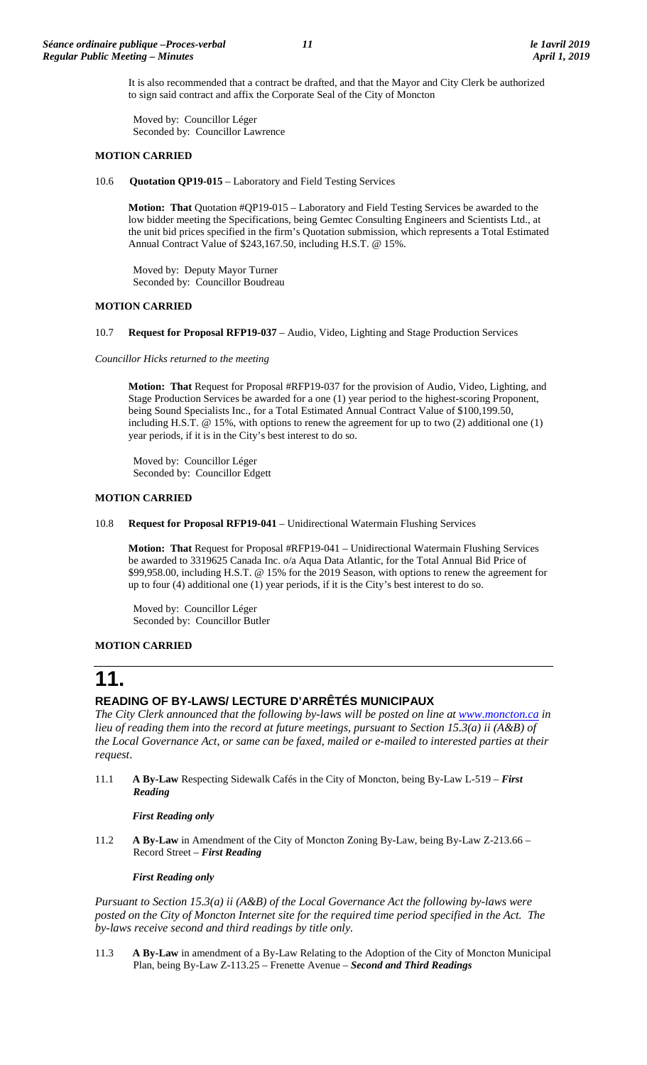It is also recommended that a contract be drafted, and that the Mayor and City Clerk be authorized to sign said contract and affix the Corporate Seal of the City of Moncton

Moved by: Councillor Léger Seconded by: Councillor Lawrence

# **MOTION CARRIED**

10.6 **Quotation QP19-015** – Laboratory and Field Testing Services

**Motion: That** Quotation #QP19-015 – Laboratory and Field Testing Services be awarded to the low bidder meeting the Specifications, being Gemtec Consulting Engineers and Scientists Ltd., at the unit bid prices specified in the firm's Quotation submission, which represents a Total Estimated Annual Contract Value of \$243,167.50, including H.S.T. @ 15%.

Moved by: Deputy Mayor Turner Seconded by: Councillor Boudreau

# **MOTION CARRIED**

10.7 **Request for Proposal RFP19-037** – Audio, Video, Lighting and Stage Production Services

*Councillor Hicks returned to the meeting*

**Motion: That** Request for Proposal #RFP19-037 for the provision of Audio, Video, Lighting, and Stage Production Services be awarded for a one (1) year period to the highest-scoring Proponent, being Sound Specialists Inc., for a Total Estimated Annual Contract Value of \$100,199.50, including H.S.T. @ 15%, with options to renew the agreement for up to two (2) additional one (1) year periods, if it is in the City's best interest to do so.

Moved by: Councillor Léger Seconded by: Councillor Edgett

# **MOTION CARRIED**

10.8 **Request for Proposal RFP19-041** – Unidirectional Watermain Flushing Services

**Motion: That** Request for Proposal #RFP19-041 – Unidirectional Watermain Flushing Services be awarded to 3319625 Canada Inc. o/a Aqua Data Atlantic, for the Total Annual Bid Price of \$99,958.00, including H.S.T. @ 15% for the 2019 Season, with options to renew the agreement for up to four (4) additional one (1) year periods, if it is the City's best interest to do so.

Moved by: Councillor Léger Seconded by: Councillor Butler

# **MOTION CARRIED**

# **11.**

# **READING OF BY-LAWS/ LECTURE D'ARRÊTÉS MUNICIPAUX**

*The City Clerk announced that the following by-laws will be posted on line at [www.moncton.ca](http://www.moncton.ca/) in lieu of reading them into the record at future meetings, pursuant to Section 15.3(a) ii (A&B) of the Local Governance Act, or same can be faxed, mailed or e-mailed to interested parties at their request*.

11.1 **A By-Law** Respecting Sidewalk Cafés in the City of Moncton, being By-Law L-519 – *First Reading*

*First Reading only*

11.2 **A By-Law** in Amendment of the City of Moncton Zoning By-Law, being By-Law Z-213.66 – Record Street – *First Reading*

*First Reading only*

*Pursuant to Section 15.3(a) ii (A&B) of the Local Governance Act the following by-laws were*  posted on the City of Moncton Internet site for the required time period specified in the Act. The *by-laws receive second and third readings by title only.*

11.3 **A By-Law** in amendment of a By-Law Relating to the Adoption of the City of Moncton Municipal Plan, being By-Law Z-113.25 – Frenette Avenue – *Second and Third Readings*